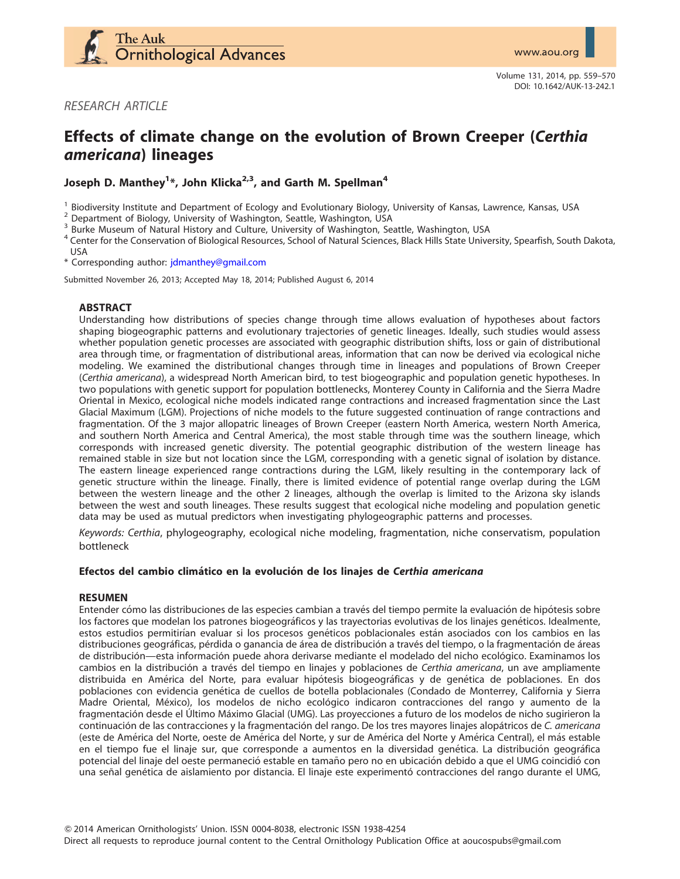

RESEARCH ARTICLE

# Effects of climate change on the evolution of Brown Creeper (Certhia americana) lineages

Joseph D. Manthey<sup>1</sup>\*, John Klicka<sup>2,3</sup>, and Garth M. Spellman<sup>4</sup>

<sup>1</sup> Biodiversity Institute and Department of Ecology and Evolutionary Biology, University of Kansas, Lawrence, Kansas, USA<br>
<sup>2</sup> Department of Biology, University of Washington, Seattle, Washington, USA<br>
<sup>3</sup> Burke Museum o USA

\* Corresponding author: [jdmanthey@gmail.com](mailto:jdmanthey@gmail.com)

Submitted November 26, 2013; Accepted May 18, 2014; Published August 6, 2014

## ABSTRACT

Understanding how distributions of species change through time allows evaluation of hypotheses about factors shaping biogeographic patterns and evolutionary trajectories of genetic lineages. Ideally, such studies would assess whether population genetic processes are associated with geographic distribution shifts, loss or gain of distributional area through time, or fragmentation of distributional areas, information that can now be derived via ecological niche modeling. We examined the distributional changes through time in lineages and populations of Brown Creeper (Certhia americana), a widespread North American bird, to test biogeographic and population genetic hypotheses. In two populations with genetic support for population bottlenecks, Monterey County in California and the Sierra Madre Oriental in Mexico, ecological niche models indicated range contractions and increased fragmentation since the Last Glacial Maximum (LGM). Projections of niche models to the future suggested continuation of range contractions and fragmentation. Of the 3 major allopatric lineages of Brown Creeper (eastern North America, western North America, and southern North America and Central America), the most stable through time was the southern lineage, which corresponds with increased genetic diversity. The potential geographic distribution of the western lineage has remained stable in size but not location since the LGM, corresponding with a genetic signal of isolation by distance. The eastern lineage experienced range contractions during the LGM, likely resulting in the contemporary lack of genetic structure within the lineage. Finally, there is limited evidence of potential range overlap during the LGM between the western lineage and the other 2 lineages, although the overlap is limited to the Arizona sky islands between the west and south lineages. These results suggest that ecological niche modeling and population genetic data may be used as mutual predictors when investigating phylogeographic patterns and processes.

Keywords: Certhia, phylogeography, ecological niche modeling, fragmentation, niche conservatism, population bottleneck

## Efectos del cambio climático en la evolución de los linajes de Certhia americana

#### RESUMEN

Entender cómo las distribuciones de las especies cambian a través del tiempo permite la evaluación de hipótesis sobre los factores que modelan los patrones biogeográficos y las trayectorias evolutivas de los linajes genéticos. Idealmente, estos estudios permitirían evaluar si los procesos genéticos poblacionales están asociados con los cambios en las distribuciones geográficas, pérdida o ganancia de área de distribución a través del tiempo, o la fragmentación de áreas de distribución—esta información puede ahora derivarse mediante el modelado del nicho ecológico. Examinamos los cambios en la distribución a través del tiempo en linajes y poblaciones de Certhia americana, un ave ampliamente distribuida en América del Norte, para evaluar hipótesis biogeográficas y de genética de poblaciones. En dos poblaciones con evidencia genética de cuellos de botella poblacionales (Condado de Monterrey, California y Sierra Madre Oriental, México), los modelos de nicho ecológico indicaron contracciones del rango y aumento de la fragmentación desde el Último Máximo Glacial (UMG). Las proyecciones a futuro de los modelos de nicho sugirieron la continuación de las contracciones y la fragmentación del rango. De los tres mayores linajes alopátricos de C. americana (este de América del Norte, oeste de América del Norte, y sur de América del Norte y América Central), el más estable en el tiempo fue el linaje sur, que corresponde a aumentos en la diversidad genética. La distribución geográfica potencial del linaje del oeste permaneció estable en tamaño pero no en ubicación debido a que el UMG coincidió con una señal genética de aislamiento por distancia. El linaje este experimentó contracciones del rango durante el UMG,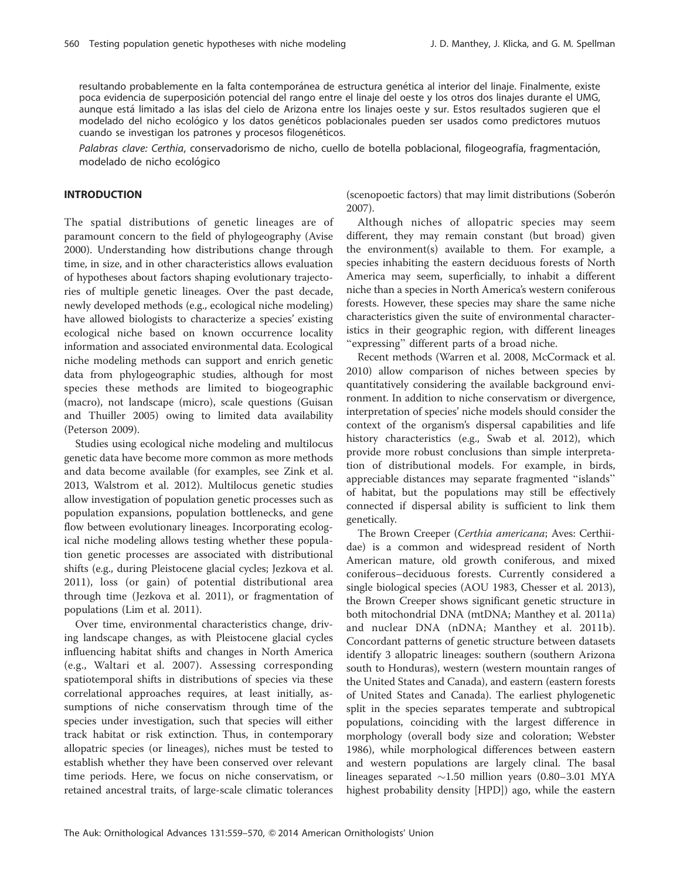resultando probablemente en la falta contemporánea de estructura genética al interior del linaje. Finalmente, existe poca evidencia de superposición potencial del rango entre el linaje del oeste y los otros dos linajes durante el UMG, aunque está limitado a las islas del cielo de Arizona entre los linajes oeste y sur. Estos resultados sugieren que el modelado del nicho ecológico y los datos genéticos poblacionales pueden ser usados como predictores mutuos cuando se investigan los patrones y procesos filogenéticos.

Palabras clave: Certhia, conservadorismo de nicho, cuello de botella poblacional, filogeografía, fragmentación, modelado de nicho ecológico

## INTRODUCTION

The spatial distributions of genetic lineages are of paramount concern to the field of phylogeography (Avise 2000). Understanding how distributions change through time, in size, and in other characteristics allows evaluation of hypotheses about factors shaping evolutionary trajectories of multiple genetic lineages. Over the past decade, newly developed methods (e.g., ecological niche modeling) have allowed biologists to characterize a species' existing ecological niche based on known occurrence locality information and associated environmental data. Ecological niche modeling methods can support and enrich genetic data from phylogeographic studies, although for most species these methods are limited to biogeographic (macro), not landscape (micro), scale questions (Guisan and Thuiller 2005) owing to limited data availability (Peterson 2009).

Studies using ecological niche modeling and multilocus genetic data have become more common as more methods and data become available (for examples, see Zink et al. 2013, Walstrom et al. 2012). Multilocus genetic studies allow investigation of population genetic processes such as population expansions, population bottlenecks, and gene flow between evolutionary lineages. Incorporating ecological niche modeling allows testing whether these population genetic processes are associated with distributional shifts (e.g., during Pleistocene glacial cycles; Jezkova et al. 2011), loss (or gain) of potential distributional area through time (Jezkova et al. 2011), or fragmentation of populations (Lim et al. 2011).

Over time, environmental characteristics change, driving landscape changes, as with Pleistocene glacial cycles influencing habitat shifts and changes in North America (e.g., Waltari et al. 2007). Assessing corresponding spatiotemporal shifts in distributions of species via these correlational approaches requires, at least initially, assumptions of niche conservatism through time of the species under investigation, such that species will either track habitat or risk extinction. Thus, in contemporary allopatric species (or lineages), niches must be tested to establish whether they have been conserved over relevant time periods. Here, we focus on niche conservatism, or retained ancestral traits, of large-scale climatic tolerances

(scenopoetic factors) that may limit distributions (Soberón 2007).

Although niches of allopatric species may seem different, they may remain constant (but broad) given the environment(s) available to them. For example, a species inhabiting the eastern deciduous forests of North America may seem, superficially, to inhabit a different niche than a species in North America's western coniferous forests. However, these species may share the same niche characteristics given the suite of environmental characteristics in their geographic region, with different lineages "expressing" different parts of a broad niche.

Recent methods (Warren et al. 2008, McCormack et al. 2010) allow comparison of niches between species by quantitatively considering the available background environment. In addition to niche conservatism or divergence, interpretation of species' niche models should consider the context of the organism's dispersal capabilities and life history characteristics (e.g., Swab et al. 2012), which provide more robust conclusions than simple interpretation of distributional models. For example, in birds, appreciable distances may separate fragmented ''islands'' of habitat, but the populations may still be effectively connected if dispersal ability is sufficient to link them genetically.

The Brown Creeper (Certhia americana; Aves: Certhiidae) is a common and widespread resident of North American mature, old growth coniferous, and mixed coniferous–deciduous forests. Currently considered a single biological species (AOU 1983, Chesser et al. 2013), the Brown Creeper shows significant genetic structure in both mitochondrial DNA (mtDNA; Manthey et al. 2011a) and nuclear DNA (nDNA; Manthey et al. 2011b). Concordant patterns of genetic structure between datasets identify 3 allopatric lineages: southern (southern Arizona south to Honduras), western (western mountain ranges of the United States and Canada), and eastern (eastern forests of United States and Canada). The earliest phylogenetic split in the species separates temperate and subtropical populations, coinciding with the largest difference in morphology (overall body size and coloration; Webster 1986), while morphological differences between eastern and western populations are largely clinal. The basal lineages separated  $\sim$ 1.50 million years (0.80–3.01 MYA highest probability density [HPD]) ago, while the eastern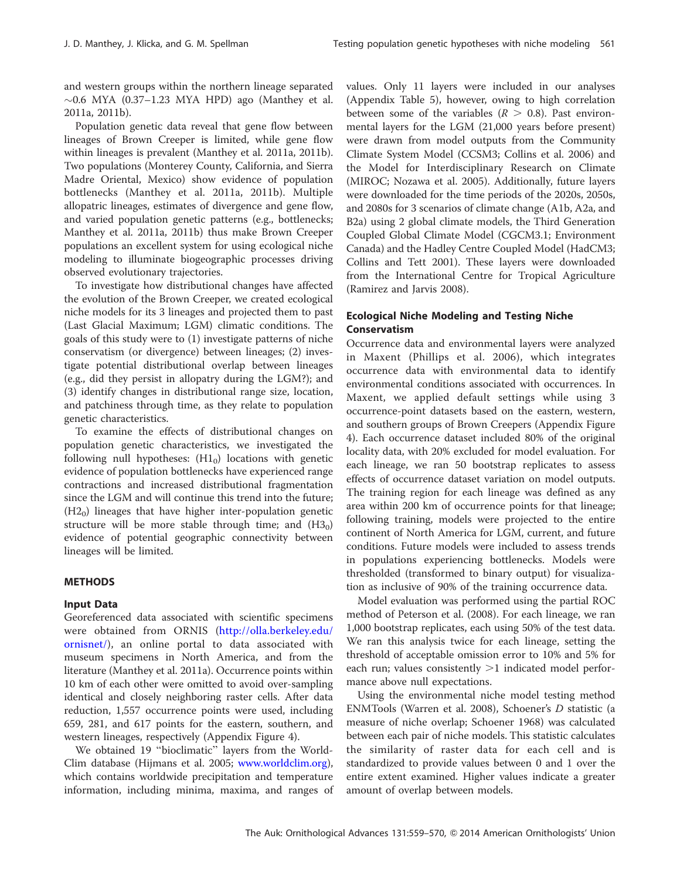and western groups within the northern lineage separated  $\sim$ 0.6 MYA (0.37–1.23 MYA HPD) ago (Manthey et al. 2011a, 2011b).

Population genetic data reveal that gene flow between lineages of Brown Creeper is limited, while gene flow within lineages is prevalent (Manthey et al. 2011a, 2011b). Two populations (Monterey County, California, and Sierra Madre Oriental, Mexico) show evidence of population bottlenecks (Manthey et al. 2011a, 2011b). Multiple allopatric lineages, estimates of divergence and gene flow, and varied population genetic patterns (e.g., bottlenecks; Manthey et al. 2011a, 2011b) thus make Brown Creeper populations an excellent system for using ecological niche modeling to illuminate biogeographic processes driving observed evolutionary trajectories.

To investigate how distributional changes have affected the evolution of the Brown Creeper, we created ecological niche models for its 3 lineages and projected them to past (Last Glacial Maximum; LGM) climatic conditions. The goals of this study were to (1) investigate patterns of niche conservatism (or divergence) between lineages; (2) investigate potential distributional overlap between lineages (e.g., did they persist in allopatry during the LGM?); and (3) identify changes in distributional range size, location, and patchiness through time, as they relate to population genetic characteristics.

To examine the effects of distributional changes on population genetic characteristics, we investigated the following null hypotheses:  $(H1<sub>0</sub>)$  locations with genetic evidence of population bottlenecks have experienced range contractions and increased distributional fragmentation since the LGM and will continue this trend into the future;  $(H2<sub>0</sub>)$  lineages that have higher inter-population genetic structure will be more stable through time; and  $(H3<sub>0</sub>)$ evidence of potential geographic connectivity between lineages will be limited.

#### METHODS

### Input Data

Georeferenced data associated with scientific specimens were obtained from ORNIS [\(http://olla.berkeley.edu/](http://olla.berkeley.edu/ornisnet/) [ornisnet/\)](http://olla.berkeley.edu/ornisnet/), an online portal to data associated with museum specimens in North America, and from the literature (Manthey et al. 2011a). Occurrence points within 10 km of each other were omitted to avoid over-sampling identical and closely neighboring raster cells. After data reduction, 1,557 occurrence points were used, including 659, 281, and 617 points for the eastern, southern, and western lineages, respectively (Appendix Figure 4).

We obtained 19 ''bioclimatic'' layers from the World-Clim database (Hijmans et al. 2005; [www.worldclim.org\)](http://www.worldclim.org), which contains worldwide precipitation and temperature information, including minima, maxima, and ranges of values. Only 11 layers were included in our analyses (Appendix Table 5), however, owing to high correlation between some of the variables ( $R > 0.8$ ). Past environmental layers for the LGM (21,000 years before present) were drawn from model outputs from the Community Climate System Model (CCSM3; Collins et al. 2006) and the Model for Interdisciplinary Research on Climate (MIROC; Nozawa et al. 2005). Additionally, future layers were downloaded for the time periods of the 2020s, 2050s, and 2080s for 3 scenarios of climate change (A1b, A2a, and B2a) using 2 global climate models, the Third Generation Coupled Global Climate Model (CGCM3.1; Environment Canada) and the Hadley Centre Coupled Model (HadCM3; Collins and Tett 2001). These layers were downloaded from the International Centre for Tropical Agriculture (Ramirez and Jarvis 2008).

## Ecological Niche Modeling and Testing Niche Conservatism

Occurrence data and environmental layers were analyzed in Maxent (Phillips et al. 2006), which integrates occurrence data with environmental data to identify environmental conditions associated with occurrences. In Maxent, we applied default settings while using 3 occurrence-point datasets based on the eastern, western, and southern groups of Brown Creepers (Appendix Figure 4). Each occurrence dataset included 80% of the original locality data, with 20% excluded for model evaluation. For each lineage, we ran 50 bootstrap replicates to assess effects of occurrence dataset variation on model outputs. The training region for each lineage was defined as any area within 200 km of occurrence points for that lineage; following training, models were projected to the entire continent of North America for LGM, current, and future conditions. Future models were included to assess trends in populations experiencing bottlenecks. Models were thresholded (transformed to binary output) for visualization as inclusive of 90% of the training occurrence data.

Model evaluation was performed using the partial ROC method of Peterson et al. (2008). For each lineage, we ran 1,000 bootstrap replicates, each using 50% of the test data. We ran this analysis twice for each lineage, setting the threshold of acceptable omission error to 10% and 5% for each run; values consistently  $>1$  indicated model performance above null expectations.

Using the environmental niche model testing method ENMTools (Warren et al. 2008), Schoener's D statistic (a measure of niche overlap; Schoener 1968) was calculated between each pair of niche models. This statistic calculates the similarity of raster data for each cell and is standardized to provide values between 0 and 1 over the entire extent examined. Higher values indicate a greater amount of overlap between models.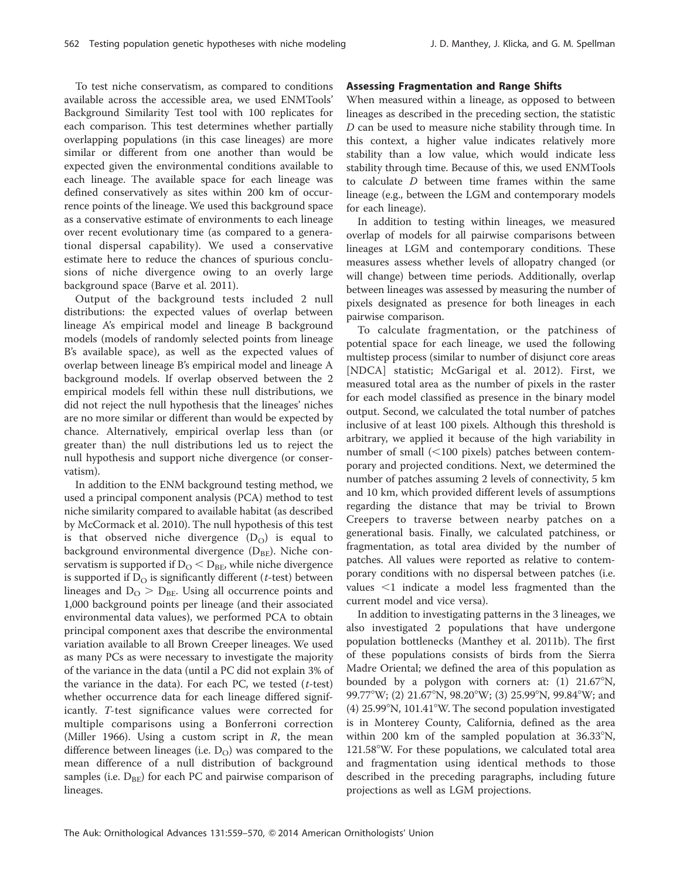To test niche conservatism, as compared to conditions available across the accessible area, we used ENMTools' Background Similarity Test tool with 100 replicates for each comparison. This test determines whether partially overlapping populations (in this case lineages) are more similar or different from one another than would be expected given the environmental conditions available to each lineage. The available space for each lineage was defined conservatively as sites within 200 km of occurrence points of the lineage. We used this background space as a conservative estimate of environments to each lineage over recent evolutionary time (as compared to a generational dispersal capability). We used a conservative estimate here to reduce the chances of spurious conclusions of niche divergence owing to an overly large background space (Barve et al. 2011).

Output of the background tests included 2 null distributions: the expected values of overlap between lineage A's empirical model and lineage B background models (models of randomly selected points from lineage B's available space), as well as the expected values of overlap between lineage B's empirical model and lineage A background models. If overlap observed between the 2 empirical models fell within these null distributions, we did not reject the null hypothesis that the lineages' niches are no more similar or different than would be expected by chance. Alternatively, empirical overlap less than (or greater than) the null distributions led us to reject the null hypothesis and support niche divergence (or conservatism).

In addition to the ENM background testing method, we used a principal component analysis (PCA) method to test niche similarity compared to available habitat (as described by McCormack et al. 2010). The null hypothesis of this test is that observed niche divergence  $(D<sub>O</sub>)$  is equal to background environmental divergence  $(D_{BE})$ . Niche conservatism is supported if  $D<sub>O</sub> < B<sub>BE</sub>$ , while niche divergence is supported if  $D<sub>O</sub>$  is significantly different (*t*-test) between lineages and  $D_{\rm O} > D_{\rm BE}$ . Using all occurrence points and 1,000 background points per lineage (and their associated environmental data values), we performed PCA to obtain principal component axes that describe the environmental variation available to all Brown Creeper lineages. We used as many PCs as were necessary to investigate the majority of the variance in the data (until a PC did not explain 3% of the variance in the data). For each PC, we tested  $(t$ -test) whether occurrence data for each lineage differed significantly. T-test significance values were corrected for multiple comparisons using a Bonferroni correction (Miller 1966). Using a custom script in  $R$ , the mean difference between lineages (i.e.  $D<sub>O</sub>$ ) was compared to the mean difference of a null distribution of background samples (i.e.  $D_{BE}$ ) for each PC and pairwise comparison of lineages.

#### Assessing Fragmentation and Range Shifts

When measured within a lineage, as opposed to between lineages as described in the preceding section, the statistic D can be used to measure niche stability through time. In this context, a higher value indicates relatively more stability than a low value, which would indicate less stability through time. Because of this, we used ENMTools to calculate D between time frames within the same lineage (e.g., between the LGM and contemporary models for each lineage).

In addition to testing within lineages, we measured overlap of models for all pairwise comparisons between lineages at LGM and contemporary conditions. These measures assess whether levels of allopatry changed (or will change) between time periods. Additionally, overlap between lineages was assessed by measuring the number of pixels designated as presence for both lineages in each pairwise comparison.

To calculate fragmentation, or the patchiness of potential space for each lineage, we used the following multistep process (similar to number of disjunct core areas [NDCA] statistic; McGarigal et al. 2012). First, we measured total area as the number of pixels in the raster for each model classified as presence in the binary model output. Second, we calculated the total number of patches inclusive of at least 100 pixels. Although this threshold is arbitrary, we applied it because of the high variability in number of small  $(<100$  pixels) patches between contemporary and projected conditions. Next, we determined the number of patches assuming 2 levels of connectivity, 5 km and 10 km, which provided different levels of assumptions regarding the distance that may be trivial to Brown Creepers to traverse between nearby patches on a generational basis. Finally, we calculated patchiness, or fragmentation, as total area divided by the number of patches. All values were reported as relative to contemporary conditions with no dispersal between patches (i.e. values  $\leq 1$  indicate a model less fragmented than the current model and vice versa).

In addition to investigating patterns in the 3 lineages, we also investigated 2 populations that have undergone population bottlenecks (Manthey et al. 2011b). The first of these populations consists of birds from the Sierra Madre Oriental; we defined the area of this population as bounded by a polygon with corners at:  $(1)$  21.67°N, 99.77°W; (2) 21.67°N, 98.20°W; (3) 25.99°N, 99.84°W; and (4) 25.99 $\mathrm{°N}$ , 101.41 $\mathrm{°W}$ . The second population investigated is in Monterey County, California, defined as the area within 200 km of the sampled population at  $36.33^{\circ}$ N,  $121.58^{\circ}$ W. For these populations, we calculated total area and fragmentation using identical methods to those described in the preceding paragraphs, including future projections as well as LGM projections.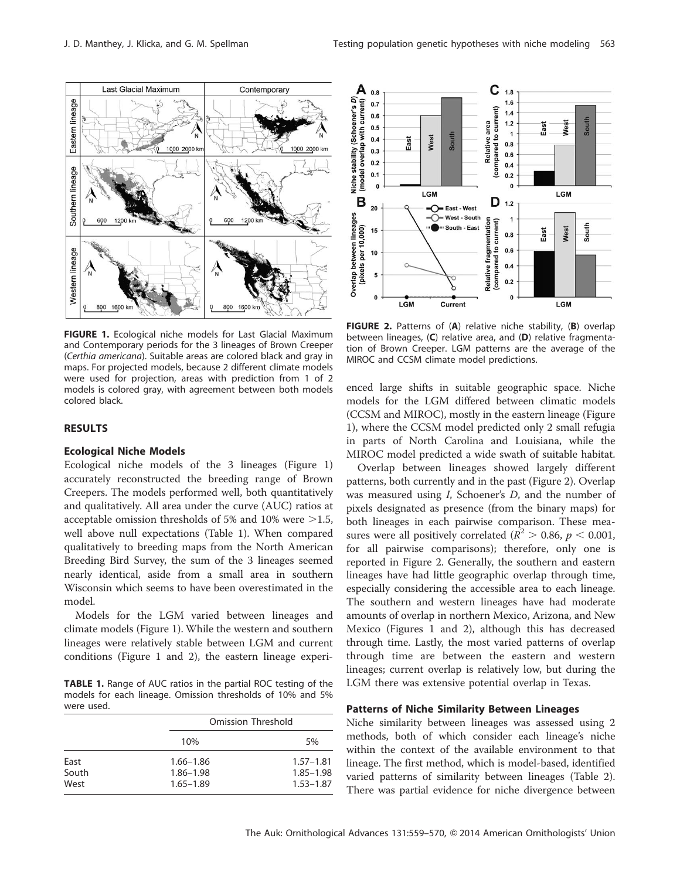

FIGURE 1. Ecological niche models for Last Glacial Maximum and Contemporary periods for the 3 lineages of Brown Creeper (Certhia americana). Suitable areas are colored black and gray in maps. For projected models, because 2 different climate models were used for projection, areas with prediction from 1 of 2 models is colored gray, with agreement between both models colored black.

## **RESULTS**

#### Ecological Niche Models

Ecological niche models of the 3 lineages (Figure 1) accurately reconstructed the breeding range of Brown Creepers. The models performed well, both quantitatively and qualitatively. All area under the curve (AUC) ratios at acceptable omission thresholds of 5% and 10% were  $>1.5$ , well above null expectations (Table 1). When compared qualitatively to breeding maps from the North American Breeding Bird Survey, the sum of the 3 lineages seemed nearly identical, aside from a small area in southern Wisconsin which seems to have been overestimated in the model.

Models for the LGM varied between lineages and climate models (Figure 1). While the western and southern lineages were relatively stable between LGM and current conditions (Figure 1 and 2), the eastern lineage experi-

TABLE 1. Range of AUC ratios in the partial ROC testing of the models for each lineage. Omission thresholds of 10% and 5% were used.

|       | Omission Threshold |               |
|-------|--------------------|---------------|
|       | 10%                | 5%            |
| East  | $1.66 - 1.86$      | $1.57 - 1.81$ |
| South | 1.86-1.98          | $1.85 - 1.98$ |
| West  | $1.65 - 1.89$      | $1.53 - 1.87$ |



FIGURE 2. Patterns of (A) relative niche stability, (B) overlap between lineages, (C) relative area, and (D) relative fragmentation of Brown Creeper. LGM patterns are the average of the MIROC and CCSM climate model predictions.

enced large shifts in suitable geographic space. Niche models for the LGM differed between climatic models (CCSM and MIROC), mostly in the eastern lineage (Figure 1), where the CCSM model predicted only 2 small refugia in parts of North Carolina and Louisiana, while the MIROC model predicted a wide swath of suitable habitat.

Overlap between lineages showed largely different patterns, both currently and in the past (Figure 2). Overlap was measured using I, Schoener's D, and the number of pixels designated as presence (from the binary maps) for both lineages in each pairwise comparison. These measures were all positively correlated ( $R^2 > 0.86$ ,  $p < 0.001$ , for all pairwise comparisons); therefore, only one is reported in Figure 2. Generally, the southern and eastern lineages have had little geographic overlap through time, especially considering the accessible area to each lineage. The southern and western lineages have had moderate amounts of overlap in northern Mexico, Arizona, and New Mexico (Figures 1 and 2), although this has decreased through time. Lastly, the most varied patterns of overlap through time are between the eastern and western lineages; current overlap is relatively low, but during the LGM there was extensive potential overlap in Texas.

#### Patterns of Niche Similarity Between Lineages

Niche similarity between lineages was assessed using 2 methods, both of which consider each lineage's niche within the context of the available environment to that lineage. The first method, which is model-based, identified varied patterns of similarity between lineages (Table 2). There was partial evidence for niche divergence between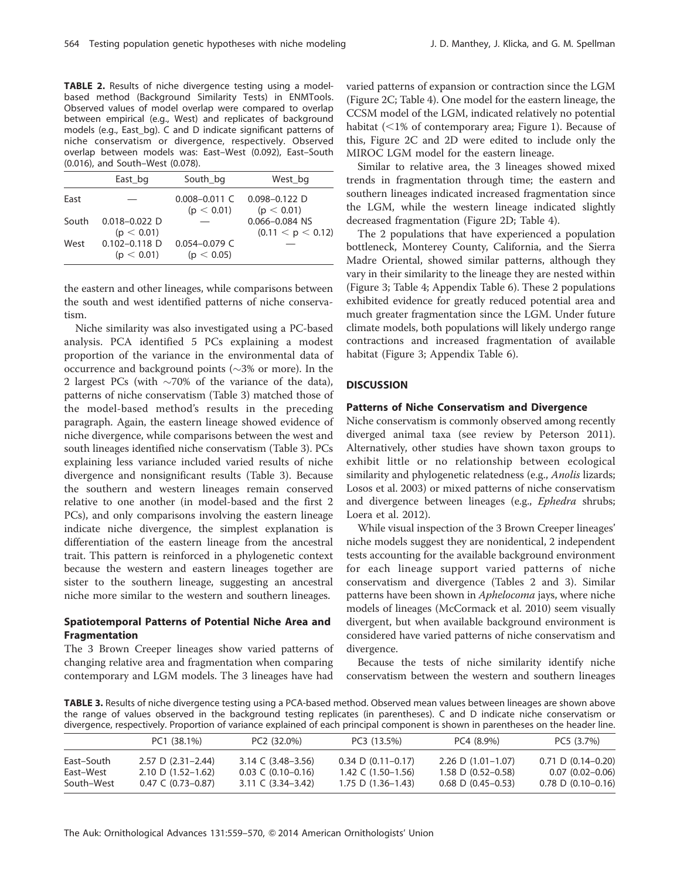TABLE 2. Results of niche divergence testing using a modelbased method (Background Similarity Tests) in ENMTools. Observed values of model overlap were compared to overlap between empirical (e.g., West) and replicates of background models (e.g., East\_bg). C and D indicate significant patterns of niche conservatism or divergence, respectively. Observed overlap between models was: East–West (0.092), East–South (0.016), and South–West (0.078).

|       | East bg                         | South bg                        | West bg                             |
|-------|---------------------------------|---------------------------------|-------------------------------------|
| East  |                                 | $0.008 - 0.011$ C<br>(p < 0.01) | $0.098 - 0.122$ D<br>(p < 0.01)     |
| South | $0.018 - 0.022$ D<br>(p < 0.01) |                                 | 0.066-0.084 NS<br>(0.11 < p < 0.12) |
| West  | $0.102 - 0.118$ D<br>(p < 0.01) | $0.054 - 0.079$ C<br>(p < 0.05) |                                     |

the eastern and other lineages, while comparisons between the south and west identified patterns of niche conservatism.

Niche similarity was also investigated using a PC-based analysis. PCA identified 5 PCs explaining a modest proportion of the variance in the environmental data of occurrence and background points ( $\sim$ 3% or more). In the 2 largest PCs (with  $\sim$ 70% of the variance of the data), patterns of niche conservatism (Table 3) matched those of the model-based method's results in the preceding paragraph. Again, the eastern lineage showed evidence of niche divergence, while comparisons between the west and south lineages identified niche conservatism (Table 3). PCs explaining less variance included varied results of niche divergence and nonsignificant results (Table 3). Because the southern and western lineages remain conserved relative to one another (in model-based and the first 2 PCs), and only comparisons involving the eastern lineage indicate niche divergence, the simplest explanation is differentiation of the eastern lineage from the ancestral trait. This pattern is reinforced in a phylogenetic context because the western and eastern lineages together are sister to the southern lineage, suggesting an ancestral niche more similar to the western and southern lineages.

## Spatiotemporal Patterns of Potential Niche Area and Fragmentation

The 3 Brown Creeper lineages show varied patterns of changing relative area and fragmentation when comparing contemporary and LGM models. The 3 lineages have had

varied patterns of expansion or contraction since the LGM (Figure 2C; Table 4). One model for the eastern lineage, the CCSM model of the LGM, indicated relatively no potential habitat  $\left($  < 1% of contemporary area; Figure 1). Because of this, Figure 2C and 2D were edited to include only the MIROC LGM model for the eastern lineage.

Similar to relative area, the 3 lineages showed mixed trends in fragmentation through time; the eastern and southern lineages indicated increased fragmentation since the LGM, while the western lineage indicated slightly decreased fragmentation (Figure 2D; Table 4).

The 2 populations that have experienced a population bottleneck, Monterey County, California, and the Sierra Madre Oriental, showed similar patterns, although they vary in their similarity to the lineage they are nested within (Figure 3; Table 4; Appendix Table 6). These 2 populations exhibited evidence for greatly reduced potential area and much greater fragmentation since the LGM. Under future climate models, both populations will likely undergo range contractions and increased fragmentation of available habitat (Figure 3; Appendix Table 6).

## **DISCUSSION**

#### Patterns of Niche Conservatism and Divergence

Niche conservatism is commonly observed among recently diverged animal taxa (see review by Peterson 2011). Alternatively, other studies have shown taxon groups to exhibit little or no relationship between ecological similarity and phylogenetic relatedness (e.g., Anolis lizards; Losos et al. 2003) or mixed patterns of niche conservatism and divergence between lineages (e.g., Ephedra shrubs; Loera et al. 2012).

While visual inspection of the 3 Brown Creeper lineages' niche models suggest they are nonidentical, 2 independent tests accounting for the available background environment for each lineage support varied patterns of niche conservatism and divergence (Tables 2 and 3). Similar patterns have been shown in Aphelocoma jays, where niche models of lineages (McCormack et al. 2010) seem visually divergent, but when available background environment is considered have varied patterns of niche conservatism and divergence.

Because the tests of niche similarity identify niche conservatism between the western and southern lineages

TABLE 3. Results of niche divergence testing using a PCA-based method. Observed mean values between lineages are shown above the range of values observed in the background testing replicates (in parentheses). C and D indicate niche conservatism or divergence, respectively. Proportion of variance explained of each principal component is shown in parentheses on the header line.

|                                       | PC1 (38.1%)                                                                                  | PC2 (32.0%)                                                                                                            | PC3 (13.5%)                                                                | PC4 (8.9%)                                                                   | PC5 (3.7%)                                                              |
|---------------------------------------|----------------------------------------------------------------------------------------------|------------------------------------------------------------------------------------------------------------------------|----------------------------------------------------------------------------|------------------------------------------------------------------------------|-------------------------------------------------------------------------|
| East-South<br>East-West<br>South-West | $2.57$ D $(2.31-2.44)$<br>$2.10$ D $(1.52-1.62)$<br>$0.47 \text{ } C \text{ } (0.73 - 0.87)$ | $3.14 \text{ } C \text{ } (3.48 - 3.56)$<br>$0.03 \text{ } C \text{ } (0.10 - 0.16)$<br>$3.11 \text{ C} (3.34 - 3.42)$ | $0.34$ D $(0.11 - 0.17)$<br>1.42 C $(1.50-1.56)$<br>$1.75$ D $(1.36-1.43)$ | $2.26$ D $(1.01-1.07)$<br>$1.58$ D $(0.52-0.58)$<br>$0.68$ D $(0.45 - 0.53)$ | $0.71$ D $(0.14-0.20)$<br>$0.07(0.02 - 0.06)$<br>$0.78$ D $(0.10-0.16)$ |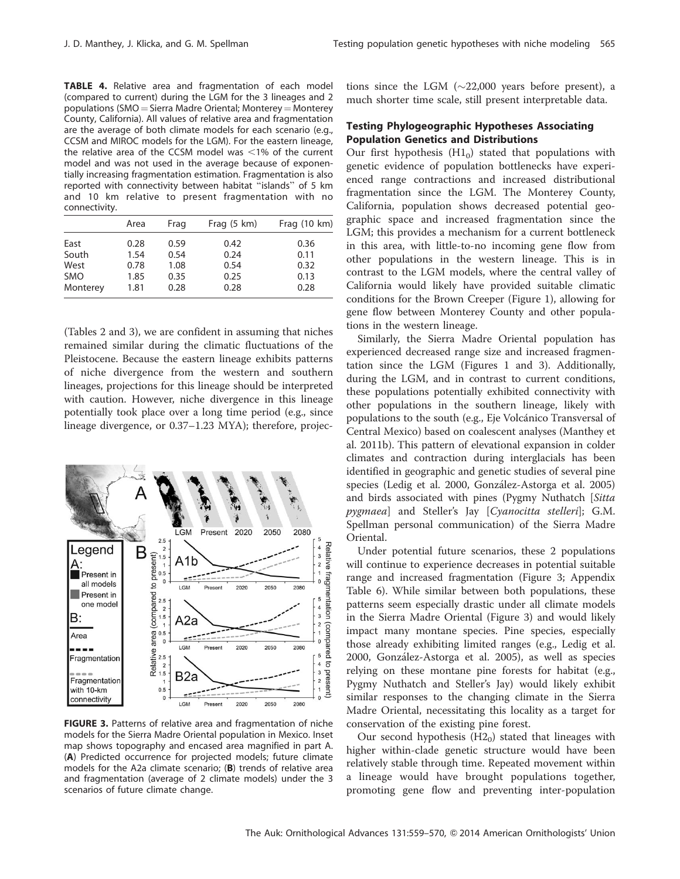TABLE 4. Relative area and fragmentation of each model (compared to current) during the LGM for the 3 lineages and 2 populations (SMO = Sierra Madre Oriental; Monterey = Monterey County, California). All values of relative area and fragmentation are the average of both climate models for each scenario (e.g., CCSM and MIROC models for the LGM). For the eastern lineage, the relative area of the CCSM model was  $<$ 1% of the current model and was not used in the average because of exponentially increasing fragmentation estimation. Fragmentation is also reported with connectivity between habitat "islands" of 5 km and 10 km relative to present fragmentation with no connectivity.

|            | Area | Frag | Frag $(5 \text{ km})$ | Frag $(10 \text{ km})$ |
|------------|------|------|-----------------------|------------------------|
| East       | 0.28 | 0.59 | 0.42                  | 0.36                   |
| South      | 1.54 | 0.54 | 0.24                  | 0.11                   |
| West       | 0.78 | 1.08 | 0.54                  | 0.32                   |
| <b>SMO</b> | 1.85 | 0.35 | 0.25                  | 0.13                   |
| Monterey   | 1.81 | 0.28 | 0.28                  | 0.28                   |

(Tables 2 and 3), we are confident in assuming that niches remained similar during the climatic fluctuations of the Pleistocene. Because the eastern lineage exhibits patterns of niche divergence from the western and southern lineages, projections for this lineage should be interpreted with caution. However, niche divergence in this lineage potentially took place over a long time period (e.g., since lineage divergence, or 0.37–1.23 MYA); therefore, projec-



FIGURE 3. Patterns of relative area and fragmentation of niche models for the Sierra Madre Oriental population in Mexico. Inset map shows topography and encased area magnified in part A. (A) Predicted occurrence for projected models; future climate models for the A2a climate scenario; (B) trends of relative area and fragmentation (average of 2 climate models) under the 3 scenarios of future climate change.

tions since the LGM  $(\sim 22,000$  years before present), a much shorter time scale, still present interpretable data.

## Testing Phylogeographic Hypotheses Associating Population Genetics and Distributions

Our first hypothesis  $(H1<sub>0</sub>)$  stated that populations with genetic evidence of population bottlenecks have experienced range contractions and increased distributional fragmentation since the LGM. The Monterey County, California, population shows decreased potential geographic space and increased fragmentation since the LGM; this provides a mechanism for a current bottleneck in this area, with little-to-no incoming gene flow from other populations in the western lineage. This is in contrast to the LGM models, where the central valley of California would likely have provided suitable climatic conditions for the Brown Creeper (Figure 1), allowing for gene flow between Monterey County and other populations in the western lineage.

Similarly, the Sierra Madre Oriental population has experienced decreased range size and increased fragmentation since the LGM (Figures 1 and 3). Additionally, during the LGM, and in contrast to current conditions, these populations potentially exhibited connectivity with other populations in the southern lineage, likely with populations to the south (e.g., Eje Volcánico Transversal of Central Mexico) based on coalescent analyses (Manthey et al. 2011b). This pattern of elevational expansion in colder climates and contraction during interglacials has been identified in geographic and genetic studies of several pine species (Ledig et al. 2000, González-Astorga et al. 2005) and birds associated with pines (Pygmy Nuthatch [Sitta pygmaea] and Steller's Jay [Cyanocitta stelleri]; G.M. Spellman personal communication) of the Sierra Madre Oriental.

Under potential future scenarios, these 2 populations will continue to experience decreases in potential suitable range and increased fragmentation (Figure 3; Appendix Table 6). While similar between both populations, these patterns seem especially drastic under all climate models in the Sierra Madre Oriental (Figure 3) and would likely impact many montane species. Pine species, especially those already exhibiting limited ranges (e.g., Ledig et al. 2000, González-Astorga et al. 2005), as well as species relying on these montane pine forests for habitat (e.g., Pygmy Nuthatch and Steller's Jay) would likely exhibit similar responses to the changing climate in the Sierra Madre Oriental, necessitating this locality as a target for conservation of the existing pine forest.

Our second hypothesis  $(H2<sub>0</sub>)$  stated that lineages with higher within-clade genetic structure would have been relatively stable through time. Repeated movement within a lineage would have brought populations together, promoting gene flow and preventing inter-population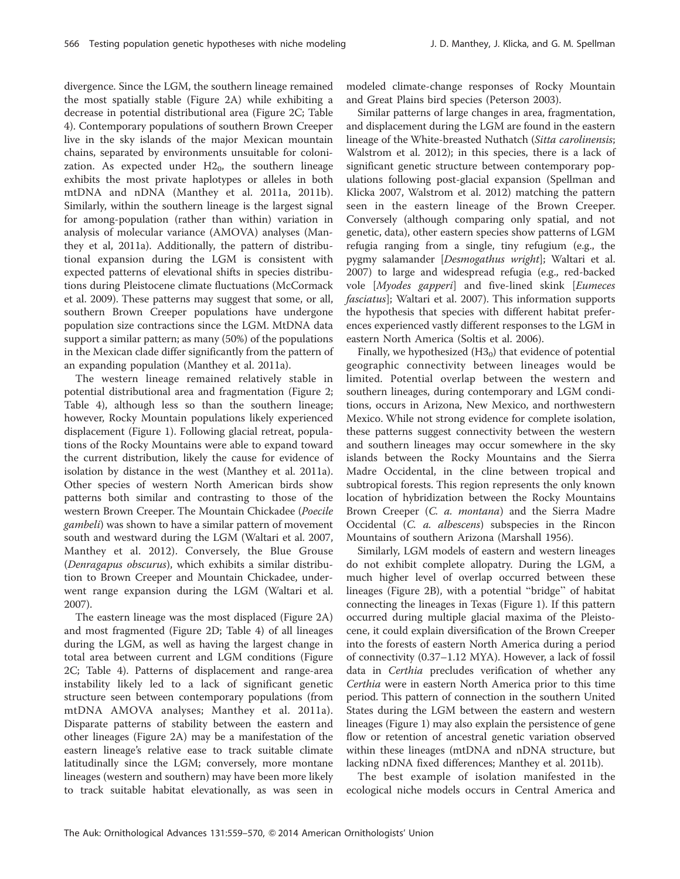divergence. Since the LGM, the southern lineage remained the most spatially stable (Figure 2A) while exhibiting a decrease in potential distributional area (Figure 2C; Table 4). Contemporary populations of southern Brown Creeper live in the sky islands of the major Mexican mountain chains, separated by environments unsuitable for colonization. As expected under  $H2_0$ , the southern lineage exhibits the most private haplotypes or alleles in both mtDNA and nDNA (Manthey et al. 2011a, 2011b). Similarly, within the southern lineage is the largest signal for among-population (rather than within) variation in analysis of molecular variance (AMOVA) analyses (Manthey et al, 2011a). Additionally, the pattern of distributional expansion during the LGM is consistent with expected patterns of elevational shifts in species distributions during Pleistocene climate fluctuations (McCormack et al. 2009). These patterns may suggest that some, or all, southern Brown Creeper populations have undergone population size contractions since the LGM. MtDNA data support a similar pattern; as many (50%) of the populations in the Mexican clade differ significantly from the pattern of an expanding population (Manthey et al. 2011a).

The western lineage remained relatively stable in potential distributional area and fragmentation (Figure 2; Table 4), although less so than the southern lineage; however, Rocky Mountain populations likely experienced displacement (Figure 1). Following glacial retreat, populations of the Rocky Mountains were able to expand toward the current distribution, likely the cause for evidence of isolation by distance in the west (Manthey et al. 2011a). Other species of western North American birds show patterns both similar and contrasting to those of the western Brown Creeper. The Mountain Chickadee (Poecile gambeli) was shown to have a similar pattern of movement south and westward during the LGM (Waltari et al. 2007, Manthey et al. 2012). Conversely, the Blue Grouse (Denragapus obscurus), which exhibits a similar distribution to Brown Creeper and Mountain Chickadee, underwent range expansion during the LGM (Waltari et al. 2007).

The eastern lineage was the most displaced (Figure 2A) and most fragmented (Figure 2D; Table 4) of all lineages during the LGM, as well as having the largest change in total area between current and LGM conditions (Figure 2C; Table 4). Patterns of displacement and range-area instability likely led to a lack of significant genetic structure seen between contemporary populations (from mtDNA AMOVA analyses; Manthey et al. 2011a). Disparate patterns of stability between the eastern and other lineages (Figure 2A) may be a manifestation of the eastern lineage's relative ease to track suitable climate latitudinally since the LGM; conversely, more montane lineages (western and southern) may have been more likely to track suitable habitat elevationally, as was seen in

modeled climate-change responses of Rocky Mountain and Great Plains bird species (Peterson 2003).

Similar patterns of large changes in area, fragmentation, and displacement during the LGM are found in the eastern lineage of the White-breasted Nuthatch (Sitta carolinensis; Walstrom et al. 2012); in this species, there is a lack of significant genetic structure between contemporary populations following post-glacial expansion (Spellman and Klicka 2007, Walstrom et al. 2012) matching the pattern seen in the eastern lineage of the Brown Creeper. Conversely (although comparing only spatial, and not genetic, data), other eastern species show patterns of LGM refugia ranging from a single, tiny refugium (e.g., the pygmy salamander [Desmogathus wright]; Waltari et al. 2007) to large and widespread refugia (e.g., red-backed vole [Myodes gapperi] and five-lined skink [Eumeces fasciatus]; Waltari et al. 2007). This information supports the hypothesis that species with different habitat preferences experienced vastly different responses to the LGM in eastern North America (Soltis et al. 2006).

Finally, we hypothesized  $(H3<sub>0</sub>)$  that evidence of potential geographic connectivity between lineages would be limited. Potential overlap between the western and southern lineages, during contemporary and LGM conditions, occurs in Arizona, New Mexico, and northwestern Mexico. While not strong evidence for complete isolation, these patterns suggest connectivity between the western and southern lineages may occur somewhere in the sky islands between the Rocky Mountains and the Sierra Madre Occidental, in the cline between tropical and subtropical forests. This region represents the only known location of hybridization between the Rocky Mountains Brown Creeper (C. a. montana) and the Sierra Madre Occidental (C. a. albescens) subspecies in the Rincon Mountains of southern Arizona (Marshall 1956).

Similarly, LGM models of eastern and western lineages do not exhibit complete allopatry. During the LGM, a much higher level of overlap occurred between these lineages (Figure 2B), with a potential ''bridge'' of habitat connecting the lineages in Texas (Figure 1). If this pattern occurred during multiple glacial maxima of the Pleistocene, it could explain diversification of the Brown Creeper into the forests of eastern North America during a period of connectivity (0.37–1.12 MYA). However, a lack of fossil data in Certhia precludes verification of whether any Certhia were in eastern North America prior to this time period. This pattern of connection in the southern United States during the LGM between the eastern and western lineages (Figure 1) may also explain the persistence of gene flow or retention of ancestral genetic variation observed within these lineages (mtDNA and nDNA structure, but lacking nDNA fixed differences; Manthey et al. 2011b).

The best example of isolation manifested in the ecological niche models occurs in Central America and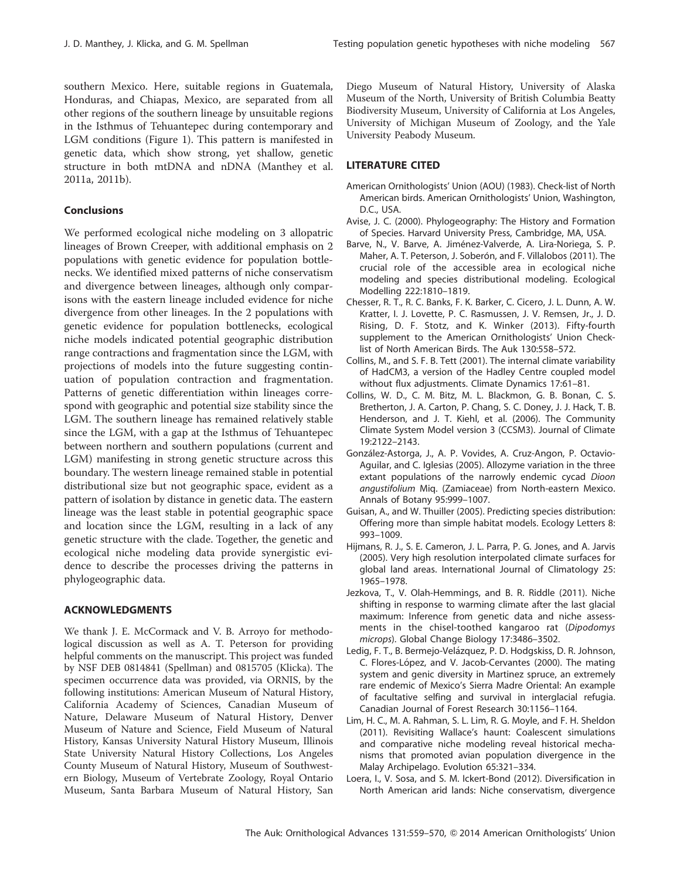southern Mexico. Here, suitable regions in Guatemala, Honduras, and Chiapas, Mexico, are separated from all other regions of the southern lineage by unsuitable regions in the Isthmus of Tehuantepec during contemporary and LGM conditions (Figure 1). This pattern is manifested in genetic data, which show strong, yet shallow, genetic structure in both mtDNA and nDNA (Manthey et al. 2011a, 2011b).

#### **Conclusions**

We performed ecological niche modeling on 3 allopatric lineages of Brown Creeper, with additional emphasis on 2 populations with genetic evidence for population bottlenecks. We identified mixed patterns of niche conservatism and divergence between lineages, although only comparisons with the eastern lineage included evidence for niche divergence from other lineages. In the 2 populations with genetic evidence for population bottlenecks, ecological niche models indicated potential geographic distribution range contractions and fragmentation since the LGM, with projections of models into the future suggesting continuation of population contraction and fragmentation. Patterns of genetic differentiation within lineages correspond with geographic and potential size stability since the LGM. The southern lineage has remained relatively stable since the LGM, with a gap at the Isthmus of Tehuantepec between northern and southern populations (current and LGM) manifesting in strong genetic structure across this boundary. The western lineage remained stable in potential distributional size but not geographic space, evident as a pattern of isolation by distance in genetic data. The eastern lineage was the least stable in potential geographic space and location since the LGM, resulting in a lack of any genetic structure with the clade. Together, the genetic and ecological niche modeling data provide synergistic evidence to describe the processes driving the patterns in phylogeographic data.

## ACKNOWLEDGMENTS

We thank J. E. McCormack and V. B. Arroyo for methodological discussion as well as A. T. Peterson for providing helpful comments on the manuscript. This project was funded by NSF DEB 0814841 (Spellman) and 0815705 (Klicka). The specimen occurrence data was provided, via ORNIS, by the following institutions: American Museum of Natural History, California Academy of Sciences, Canadian Museum of Nature, Delaware Museum of Natural History, Denver Museum of Nature and Science, Field Museum of Natural History, Kansas University Natural History Museum, Illinois State University Natural History Collections, Los Angeles County Museum of Natural History, Museum of Southwestern Biology, Museum of Vertebrate Zoology, Royal Ontario Museum, Santa Barbara Museum of Natural History, San Diego Museum of Natural History, University of Alaska Museum of the North, University of British Columbia Beatty Biodiversity Museum, University of California at Los Angeles, University of Michigan Museum of Zoology, and the Yale University Peabody Museum.

#### LITERATURE CITED

- American Ornithologists' Union (AOU) (1983). Check-list of North American birds. American Ornithologists' Union, Washington, D.C., USA.
- Avise, J. C. (2000). Phylogeography: The History and Formation of Species. Harvard University Press, Cambridge, MA, USA.
- Barve, N., V. Barve, A. Jiménez-Valverde, A. Lira-Noriega, S. P. Maher, A. T. Peterson, J. Soberón, and F. Villalobos (2011). The crucial role of the accessible area in ecological niche modeling and species distributional modeling. Ecological Modelling 222:1810–1819.
- Chesser, R. T., R. C. Banks, F. K. Barker, C. Cicero, J. L. Dunn, A. W. Kratter, I. J. Lovette, P. C. Rasmussen, J. V. Remsen, Jr., J. D. Rising, D. F. Stotz, and K. Winker (2013). Fifty-fourth supplement to the American Ornithologists' Union Checklist of North American Birds. The Auk 130:558–572.
- Collins, M., and S. F. B. Tett (2001). The internal climate variability of HadCM3, a version of the Hadley Centre coupled model without flux adjustments. Climate Dynamics 17:61–81.
- Collins, W. D., C. M. Bitz, M. L. Blackmon, G. B. Bonan, C. S. Bretherton, J. A. Carton, P. Chang, S. C. Doney, J. J. Hack, T. B. Henderson, and J. T. Kiehl, et al. (2006). The Community Climate System Model version 3 (CCSM3). Journal of Climate 19:2122–2143.
- González-Astorga, J., A. P. Vovides, A. Cruz-Angon, P. Octavio-Aguilar, and C. Iglesias (2005). Allozyme variation in the three extant populations of the narrowly endemic cycad Dioon angustifolium Miq. (Zamiaceae) from North-eastern Mexico. Annals of Botany 95:999–1007.
- Guisan, A., and W. Thuiller (2005). Predicting species distribution: Offering more than simple habitat models. Ecology Letters 8: 993–1009.
- Hijmans, R. J., S. E. Cameron, J. L. Parra, P. G. Jones, and A. Jarvis (2005). Very high resolution interpolated climate surfaces for global land areas. International Journal of Climatology 25: 1965–1978.
- Jezkova, T., V. Olah-Hemmings, and B. R. Riddle (2011). Niche shifting in response to warming climate after the last glacial maximum: Inference from genetic data and niche assessments in the chisel-toothed kangaroo rat (Dipodomys microps). Global Change Biology 17:3486–3502.
- Ledig, F. T., B. Bermejo-Velázquez, P. D. Hodgskiss, D. R. Johnson, C. Flores-López, and V. Jacob-Cervantes (2000). The mating system and genic diversity in Martinez spruce, an extremely rare endemic of Mexico's Sierra Madre Oriental: An example of facultative selfing and survival in interglacial refugia. Canadian Journal of Forest Research 30:1156–1164.
- Lim, H. C., M. A. Rahman, S. L. Lim, R. G. Moyle, and F. H. Sheldon (2011). Revisiting Wallace's haunt: Coalescent simulations and comparative niche modeling reveal historical mechanisms that promoted avian population divergence in the Malay Archipelago. Evolution 65:321–334.
- Loera, I., V. Sosa, and S. M. Ickert-Bond (2012). Diversification in North American arid lands: Niche conservatism, divergence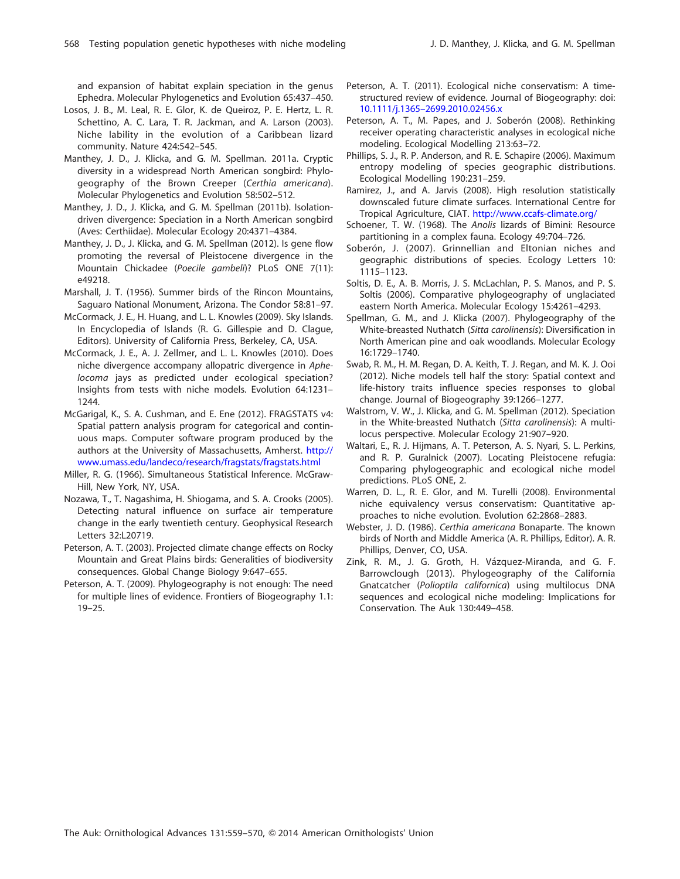and expansion of habitat explain speciation in the genus Ephedra. Molecular Phylogenetics and Evolution 65:437–450.

- Losos, J. B., M. Leal, R. E. Glor, K. de Queiroz, P. E. Hertz, L. R. Schettino, A. C. Lara, T. R. Jackman, and A. Larson (2003). Niche lability in the evolution of a Caribbean lizard community. Nature 424:542–545.
- Manthey, J. D., J. Klicka, and G. M. Spellman. 2011a. Cryptic diversity in a widespread North American songbird: Phylogeography of the Brown Creeper (Certhia americana). Molecular Phylogenetics and Evolution 58:502–512.
- Manthey, J. D., J. Klicka, and G. M. Spellman (2011b). Isolationdriven divergence: Speciation in a North American songbird (Aves: Certhiidae). Molecular Ecology 20:4371–4384.
- Manthey, J. D., J. Klicka, and G. M. Spellman (2012). Is gene flow promoting the reversal of Pleistocene divergence in the Mountain Chickadee (Poecile gambeli)? PLoS ONE 7(11): e49218.
- Marshall, J. T. (1956). Summer birds of the Rincon Mountains, Saguaro National Monument, Arizona. The Condor 58:81–97.
- McCormack, J. E., H. Huang, and L. L. Knowles (2009). Sky Islands. In Encyclopedia of Islands (R. G. Gillespie and D. Clague, Editors). University of California Press, Berkeley, CA, USA.
- McCormack, J. E., A. J. Zellmer, and L. L. Knowles (2010). Does niche divergence accompany allopatric divergence in Aphelocoma jays as predicted under ecological speciation? Insights from tests with niche models. Evolution 64:1231– 1244.
- McGarigal, K., S. A. Cushman, and E. Ene (2012). FRAGSTATS v4: Spatial pattern analysis program for categorical and continuous maps. Computer software program produced by the authors at the University of Massachusetts, Amherst. [http://](http://www.umass.edu/landeco/research/fragstats/fragstats.html) [www.umass.edu/landeco/research/fragstats/fragstats.html](http://www.umass.edu/landeco/research/fragstats/fragstats.html)
- Miller, R. G. (1966). Simultaneous Statistical Inference. McGraw-Hill, New York, NY, USA.
- Nozawa, T., T. Nagashima, H. Shiogama, and S. A. Crooks (2005). Detecting natural influence on surface air temperature change in the early twentieth century. Geophysical Research Letters 32:L20719.
- Peterson, A. T. (2003). Projected climate change effects on Rocky Mountain and Great Plains birds: Generalities of biodiversity consequences. Global Change Biology 9:647–655.
- Peterson, A. T. (2009). Phylogeography is not enough: The need for multiple lines of evidence. Frontiers of Biogeography 1.1: 19–25.
- Peterson, A. T. (2011). Ecological niche conservatism: A timestructured review of evidence. Journal of Biogeography: doi: [10.1111/j.1365–2699.2010.02456.x](dx.doi.org/10.1111/j.1365-2699.2010.02456.x)
- Peterson, A. T., M. Papes, and J. Soberón (2008). Rethinking receiver operating characteristic analyses in ecological niche modeling. Ecological Modelling 213:63–72.
- Phillips, S. J., R. P. Anderson, and R. E. Schapire (2006). Maximum entropy modeling of species geographic distributions. Ecological Modelling 190:231–259.
- Ramirez, J., and A. Jarvis (2008). High resolution statistically downscaled future climate surfaces. International Centre for Tropical Agriculture, CIAT. <http://www.ccafs-climate.org/>
- Schoener, T. W. (1968). The Anolis lizards of Bimini: Resource partitioning in a complex fauna. Ecology 49:704–726.
- Soberón, J. (2007). Grinnellian and Eltonian niches and geographic distributions of species. Ecology Letters 10: 1115–1123.
- Soltis, D. E., A. B. Morris, J. S. McLachlan, P. S. Manos, and P. S. Soltis (2006). Comparative phylogeography of unglaciated eastern North America. Molecular Ecology 15:4261–4293.
- Spellman, G. M., and J. Klicka (2007). Phylogeography of the White-breasted Nuthatch (Sitta carolinensis): Diversification in North American pine and oak woodlands. Molecular Ecology 16:1729–1740.
- Swab, R. M., H. M. Regan, D. A. Keith, T. J. Regan, and M. K. J. Ooi (2012). Niche models tell half the story: Spatial context and life-history traits influence species responses to global change. Journal of Biogeography 39:1266–1277.
- Walstrom, V. W., J. Klicka, and G. M. Spellman (2012). Speciation in the White-breasted Nuthatch (Sitta carolinensis): A multilocus perspective. Molecular Ecology 21:907–920.
- Waltari, E., R. J. Hijmans, A. T. Peterson, A. S. Nyari, S. L. Perkins, and R. P. Guralnick (2007). Locating Pleistocene refugia: Comparing phylogeographic and ecological niche model predictions. PLoS ONE, 2.
- Warren, D. L., R. E. Glor, and M. Turelli (2008). Environmental niche equivalency versus conservatism: Quantitative approaches to niche evolution. Evolution 62:2868–2883.
- Webster, J. D. (1986). Certhia americana Bonaparte. The known birds of North and Middle America (A. R. Phillips, Editor). A. R. Phillips, Denver, CO, USA.
- Zink, R. M., J. G. Groth, H. Vázquez-Miranda, and G. F. Barrowclough (2013). Phylogeography of the California Gnatcatcher (Polioptila californica) using multilocus DNA sequences and ecological niche modeling: Implications for Conservation. The Auk 130:449–458.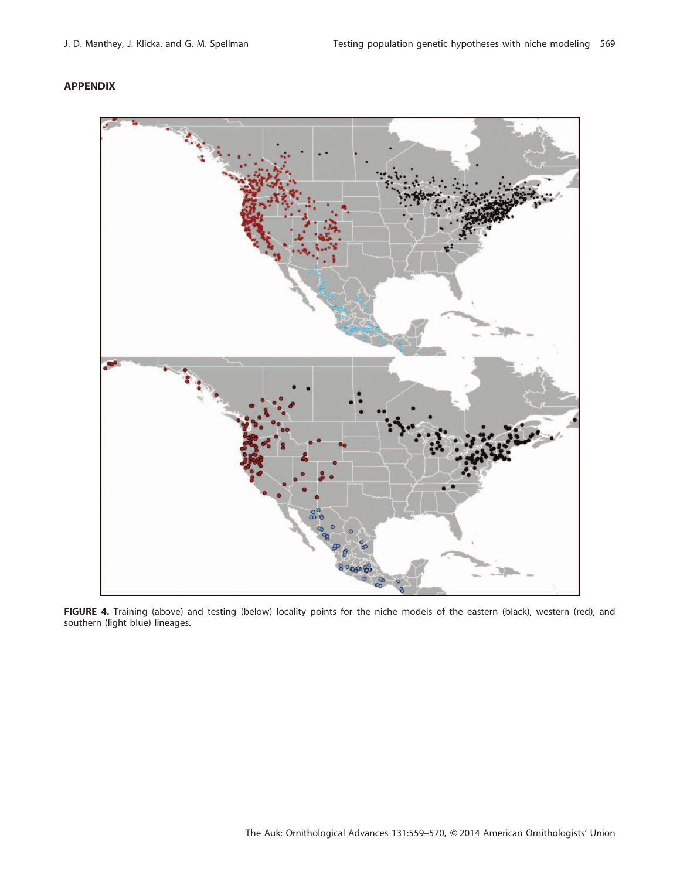## APPENDIX



FIGURE 4. Training (above) and testing (below) locality points for the niche models of the eastern (black), western (red), and southern (light blue) lineages.